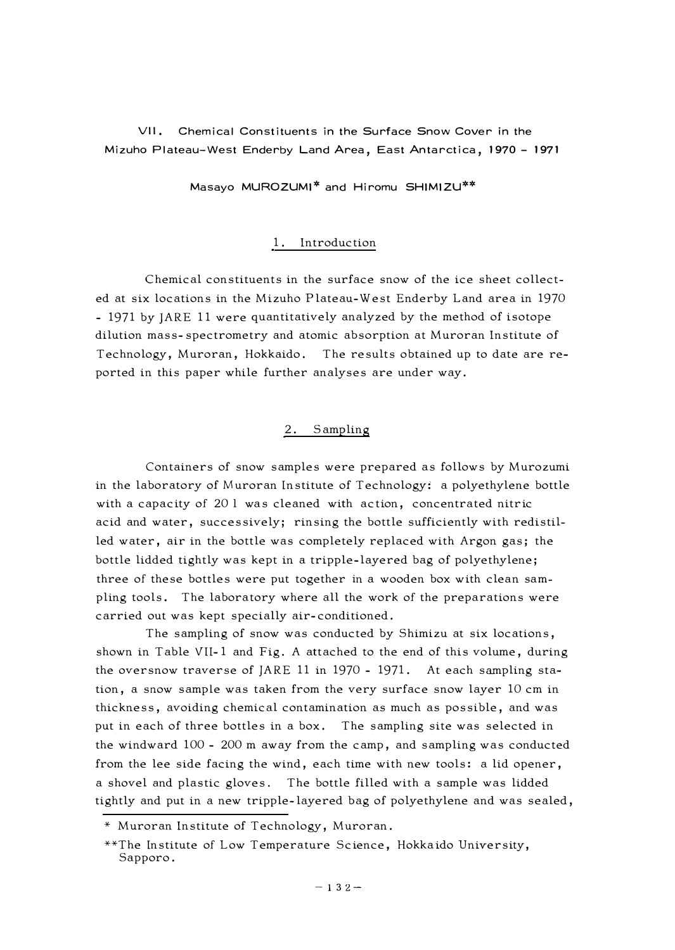**VII. Chemical Constituents in the Surface Snow Cover in the Mizuho Plateau-West Enderby Land Area, East Antarctica, 1970 - 1971** 

**Masayo MUROZUMI\* and Hiromu SHIMIZU\*\*** 

## 1. Introduction

Chemical constituents in the surface snow of the ice sheet collected at six locations in the Mizuho Plateau-West Enderby Land area in 1970 - 1971 by JARE 11 were quantitatively analyzed by the method of isotope dilution mass-spectrometry and atomic absorption at Muroran Institute of Technology, Muroran, Hokkaido. The results obtained up to date are reported in this paper while further analyses are under way.

## 2. Sampling

Containers of snow samples were prepared as follows by Murozumi in the laboratory of Muroran Institute of Technology: a polyethylene bottle with a capacity of 20 1 was cleaned with action, concentrated nitric acid and water, successively; rinsing the bottle sufficiently with redistilled water, air in the bottle was completely replaced with Argon gas; the bottle lidded tightly was kept in a tripple-layered bag of polyethylene; three of these bottles were put together in a wooden box with clean sampling tools. The laboratory where all the work of the preparations were carried out was kept specially air-conditioned.

The sampling of snow was conducted by Shimizu at six locations, shown in Table VII-1 and Fig. A attached to the end of this volume, during the oversnow traverse of JARE 11 in 1970 - 1971. At each sampling station, a snow sample was taken from the very surface snow layer 10 cm in thickness, avoiding chemical contamination as much as possible, and was put in each of three bottles in a box. The sampling site was selected in the windward 100 - 200 m away from the camp, and sampling was conducted from the lee side facing the wind, each time with new tools: a lid opener, a shovel and plastic gloves. The bottle filled with a sample was lidded tightly and put in a new tripple-layered bag of polyethylene and was sealed,

<sup>\*</sup> Muroran Institute of Technology, Muroran.

<sup>\*\*</sup>The Institute of Low Temperature Science, Hokkaido University, Sapporo.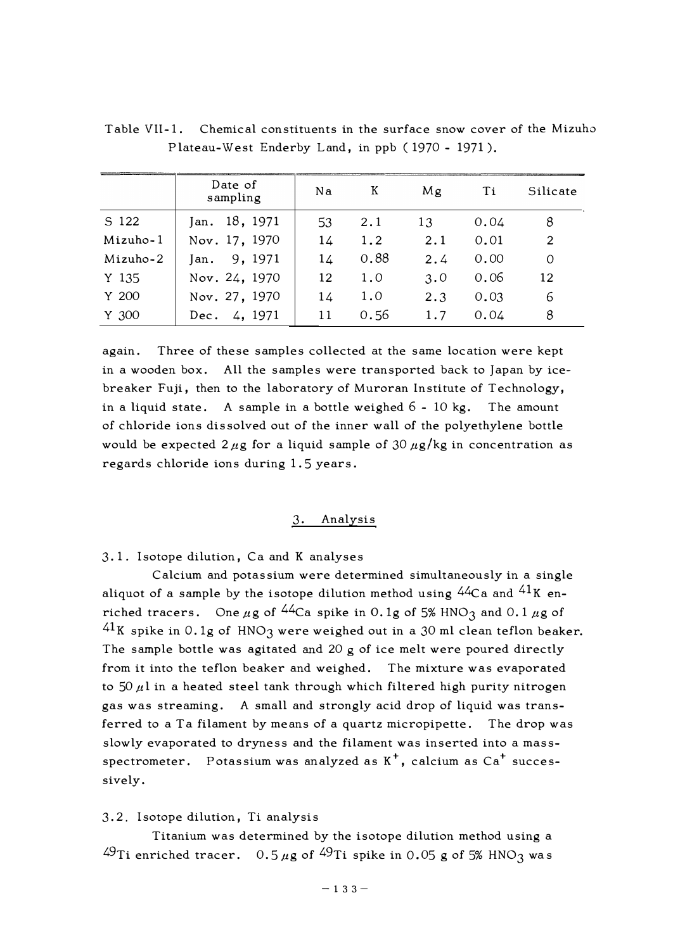|          | Date of<br>sampling | Na | К    | Mg  | Τi   | Silicate |
|----------|---------------------|----|------|-----|------|----------|
| S 122    | 18, 1971<br>Jan.    | 53 | 2.1  | 13  | 0.04 | 8        |
| Mizuho-1 | Nov. 17, 1970       | 14 | 1.2  | 2.1 | 0.01 | 2        |
| Mizuho-2 | 9, 1971<br>Jan.     | 14 | 0.88 | 2.4 | 0.00 | $\Omega$ |
| Y 135    | Nov. 24, 1970       | 12 | 1.0  | 3.0 | 0.06 | 12       |
| Y 200    | Nov. 27, 1970       | 14 | 1.0  | 2.3 | 0.03 | 6        |
| Y 300    | 4, 1971<br>Dec.     | 11 | 0.56 | 1.7 | 0.04 | 8        |

Table Vll-1. Chemical constituents in the surface snow cover of the Mizuho Plateau-West Enderby Land, in ppb ( 1970 - 1971 ).

again. Three of these samples collected at the same location were kept in a wooden box. All the samples were transported back to Japan by icebreaker Fuji, then to the laboratory of Muroran Institute of Technology, in a liquid state. A sample in a bottle weighed 6 - 10 kg. The amount of chloride ions dissolved out of the inner wall of the polyethylene bottle would be expected  $2 \mu$ g for a liquid sample of 30  $\mu$ g/kg in concentration as regards chloride ions during 1. 5 years.

# 3. Analysis

3.1. Isotope dilution, Ca and K analyses

Calcium and potassium were determined simultaneously in a single aliquot of a sample by the isotope dilution method using  $44Ca$  and  $41K$  enriched tracers. One  $\mu$ g of <sup>44</sup>Ca spike in 0.1g of 5% HNO<sub>3</sub> and 0.1  $\mu$ g of  $41K$  spike in 0.1g of HNO3 were weighed out in a 30 ml clean teflon beaker. The sample bottle was agitated and 20 g of ice melt were poured directly from it into the teflon beaker and weighed. The mixture was evaporated to  $50 \mu l$  in a heated steel tank through which filtered high purity nitrogen gas was streaming. A small and strongly acid drop of liquid was transferred to a Ta filament by means of a quartz micropipette. The drop was slowly evaporated to dryness and the filament was inserted into a massspectrometer. Potassium was analyzed as  $K^+$ , calcium as  $Ca^+$  successively.

#### 3. 2. Isotope dilution, Ti analysis

Titanium was determined by the isotope dilution method using a  $49$ Ti enriched tracer. 0.5  $\mu$ g of  $49$ Ti spike in 0.05 g of 5% HNO<sub>3</sub> was